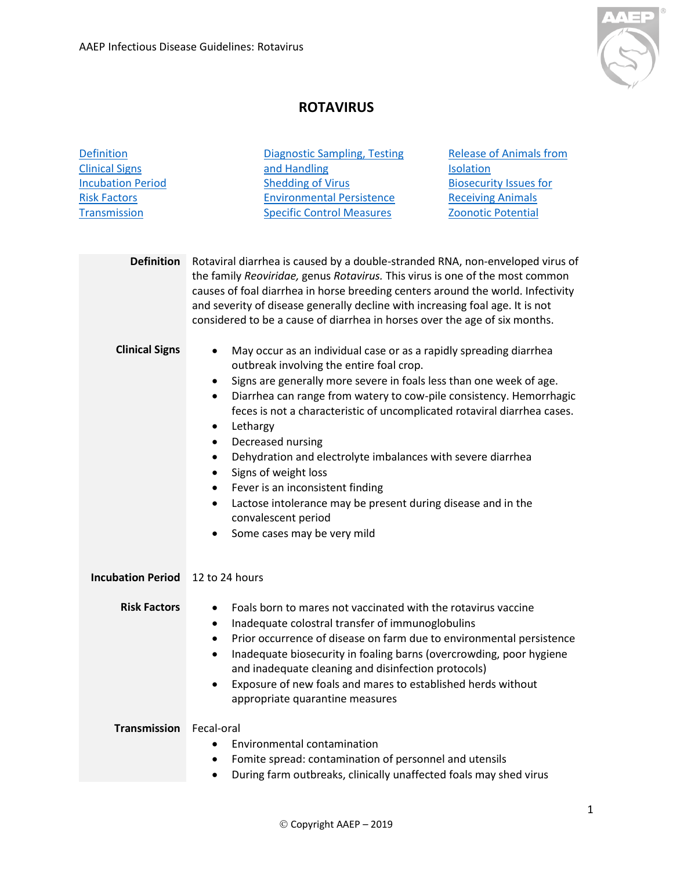

## **ROTAVIRUS**

<span id="page-0-5"></span><span id="page-0-4"></span><span id="page-0-3"></span><span id="page-0-2"></span><span id="page-0-1"></span><span id="page-0-0"></span>

| <b>Definition</b>        | <b>Diagnostic Sampling, Testing</b>                                                                                                                                                                                                                                                                                                                                                                                                                                                                                                                                                                                                                                                                          | <b>Release of Animals from</b> |
|--------------------------|--------------------------------------------------------------------------------------------------------------------------------------------------------------------------------------------------------------------------------------------------------------------------------------------------------------------------------------------------------------------------------------------------------------------------------------------------------------------------------------------------------------------------------------------------------------------------------------------------------------------------------------------------------------------------------------------------------------|--------------------------------|
| <b>Clinical Signs</b>    | and Handling                                                                                                                                                                                                                                                                                                                                                                                                                                                                                                                                                                                                                                                                                                 | <b>Isolation</b>               |
| <b>Incubation Period</b> | <b>Shedding of Virus</b>                                                                                                                                                                                                                                                                                                                                                                                                                                                                                                                                                                                                                                                                                     | <b>Biosecurity Issues for</b>  |
| <b>Risk Factors</b>      | <b>Environmental Persistence</b>                                                                                                                                                                                                                                                                                                                                                                                                                                                                                                                                                                                                                                                                             | <b>Receiving Animals</b>       |
| <b>Transmission</b>      | <b>Specific Control Measures</b>                                                                                                                                                                                                                                                                                                                                                                                                                                                                                                                                                                                                                                                                             | <b>Zoonotic Potential</b>      |
|                          |                                                                                                                                                                                                                                                                                                                                                                                                                                                                                                                                                                                                                                                                                                              |                                |
| <b>Definition</b>        | Rotaviral diarrhea is caused by a double-stranded RNA, non-enveloped virus of<br>the family Reoviridae, genus Rotavirus. This virus is one of the most common<br>causes of foal diarrhea in horse breeding centers around the world. Infectivity<br>and severity of disease generally decline with increasing foal age. It is not<br>considered to be a cause of diarrhea in horses over the age of six months.                                                                                                                                                                                                                                                                                              |                                |
| <b>Clinical Signs</b>    | May occur as an individual case or as a rapidly spreading diarrhea<br>٠<br>outbreak involving the entire foal crop.<br>Signs are generally more severe in foals less than one week of age.<br>٠<br>Diarrhea can range from watery to cow-pile consistency. Hemorrhagic<br>$\bullet$<br>feces is not a characteristic of uncomplicated rotaviral diarrhea cases.<br>Lethargy<br>٠<br>Decreased nursing<br>$\bullet$<br>Dehydration and electrolyte imbalances with severe diarrhea<br>٠<br>Signs of weight loss<br>٠<br>Fever is an inconsistent finding<br>$\bullet$<br>Lactose intolerance may be present during disease and in the<br>٠<br>convalescent period<br>Some cases may be very mild<br>$\bullet$ |                                |
| <b>Incubation Period</b> | 12 to 24 hours                                                                                                                                                                                                                                                                                                                                                                                                                                                                                                                                                                                                                                                                                               |                                |
| <b>Risk Factors</b>      | Foals born to mares not vaccinated with the rotavirus vaccine<br>Inadequate colostral transfer of immunoglobulins<br>Prior occurrence of disease on farm due to environmental persistence<br>Inadequate biosecurity in foaling barns (overcrowding, poor hygiene<br>and inadequate cleaning and disinfection protocols)<br>Exposure of new foals and mares to established herds without<br>appropriate quarantine measures                                                                                                                                                                                                                                                                                   |                                |
| <b>Transmission</b>      | Fecal-oral<br><b>Environmental contamination</b>                                                                                                                                                                                                                                                                                                                                                                                                                                                                                                                                                                                                                                                             |                                |
|                          | Fomite spread: contamination of personnel and utensils                                                                                                                                                                                                                                                                                                                                                                                                                                                                                                                                                                                                                                                       |                                |
|                          | During farm outbreaks, clinically unaffected foals may shed virus                                                                                                                                                                                                                                                                                                                                                                                                                                                                                                                                                                                                                                            |                                |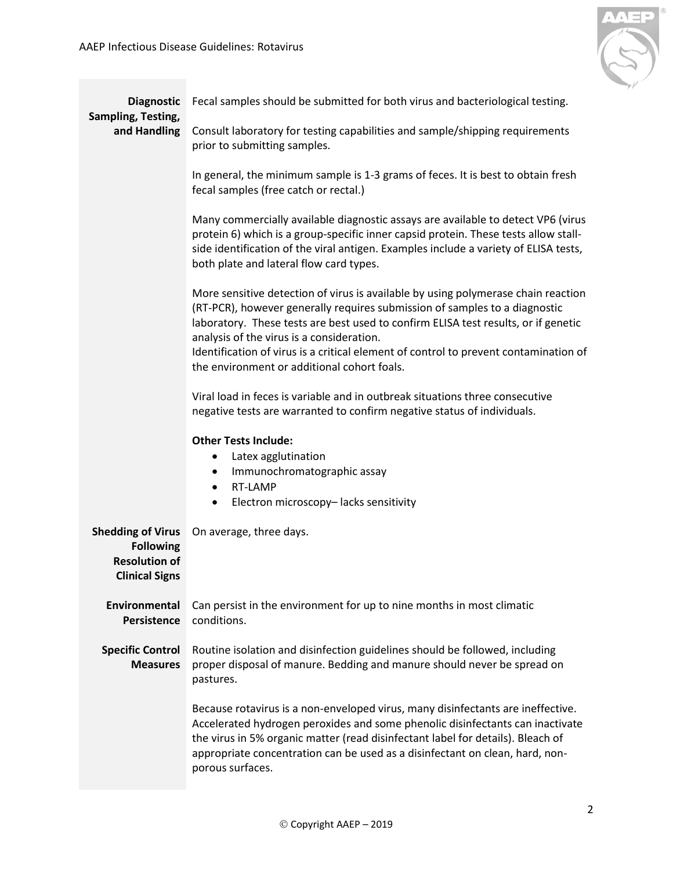

<span id="page-1-2"></span><span id="page-1-1"></span><span id="page-1-0"></span>

| <b>Diagnostic</b><br>Sampling, Testing,                                                       | Fecal samples should be submitted for both virus and bacteriological testing.                                                                                                                                                                                                                                                                                                                                                             |  |
|-----------------------------------------------------------------------------------------------|-------------------------------------------------------------------------------------------------------------------------------------------------------------------------------------------------------------------------------------------------------------------------------------------------------------------------------------------------------------------------------------------------------------------------------------------|--|
| and Handling                                                                                  | Consult laboratory for testing capabilities and sample/shipping requirements<br>prior to submitting samples.                                                                                                                                                                                                                                                                                                                              |  |
|                                                                                               | In general, the minimum sample is 1-3 grams of feces. It is best to obtain fresh<br>fecal samples (free catch or rectal.)                                                                                                                                                                                                                                                                                                                 |  |
|                                                                                               | Many commercially available diagnostic assays are available to detect VP6 (virus<br>protein 6) which is a group-specific inner capsid protein. These tests allow stall-<br>side identification of the viral antigen. Examples include a variety of ELISA tests,<br>both plate and lateral flow card types.                                                                                                                                |  |
|                                                                                               | More sensitive detection of virus is available by using polymerase chain reaction<br>(RT-PCR), however generally requires submission of samples to a diagnostic<br>laboratory. These tests are best used to confirm ELISA test results, or if genetic<br>analysis of the virus is a consideration.<br>Identification of virus is a critical element of control to prevent contamination of<br>the environment or additional cohort foals. |  |
|                                                                                               | Viral load in feces is variable and in outbreak situations three consecutive<br>negative tests are warranted to confirm negative status of individuals.                                                                                                                                                                                                                                                                                   |  |
|                                                                                               | <b>Other Tests Include:</b><br>Latex agglutination<br>$\bullet$<br>Immunochromatographic assay<br>$\bullet$<br>RT-LAMP<br>$\bullet$<br>Electron microscopy-lacks sensitivity<br>$\bullet$                                                                                                                                                                                                                                                 |  |
| <b>Shedding of Virus</b><br><b>Following</b><br><b>Resolution of</b><br><b>Clinical Signs</b> | On average, three days.                                                                                                                                                                                                                                                                                                                                                                                                                   |  |
| <b>Environmental</b><br><b>Persistence</b>                                                    | Can persist in the environment for up to nine months in most climatic<br>conditions.                                                                                                                                                                                                                                                                                                                                                      |  |
| <b>Specific Control</b><br><b>Measures</b>                                                    | Routine isolation and disinfection guidelines should be followed, including<br>proper disposal of manure. Bedding and manure should never be spread on<br>pastures.                                                                                                                                                                                                                                                                       |  |
|                                                                                               | Because rotavirus is a non-enveloped virus, many disinfectants are ineffective.<br>Accelerated hydrogen peroxides and some phenolic disinfectants can inactivate<br>the virus in 5% organic matter (read disinfectant label for details). Bleach of<br>appropriate concentration can be used as a disinfectant on clean, hard, non-<br>porous surfaces.                                                                                   |  |